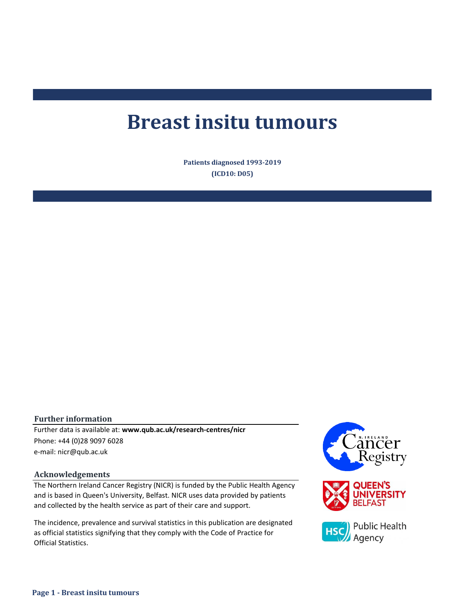# **Breast insitu tumours**

**Patients diagnosed 1993-2019 (ICD10: D05)**

#### **Further information**

Further data is available at: **www.qub.ac.uk/research-centres/nicr** Phone: +44 (0)28 9097 6028 e-mail: nicr@qub.ac.uk

#### **Acknowledgements**

The Northern Ireland Cancer Registry (NICR) is funded by the Public Health Agency and is based in Queen's University, Belfast. NICR uses data provided by patients and collected by the health service as part of their care and support.

The incidence, prevalence and survival statistics in this publication are designated as official statistics signifying that they comply with the Code of Practice for Official Statistics.

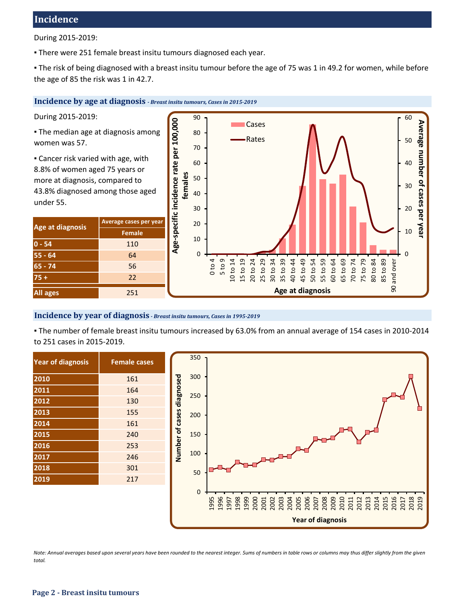## **Incidence**

During 2015-2019:

. There were 251 female breast insitu tumours diagnosed each year.

▪ The risk of being diagnosed with a breast insitu tumour before the age of 75 was 1 in 49.2 for women, while before the age of 85 the risk was 1 in 42.7.

#### **Incidence by age at diagnosis** *- Breast insitu tumours, Cases in 2015-2019*

During 2015-2019:

**The median age at diagnosis among** women was 57.

**Example 2** Cancer risk varied with age, with 8.8% of women aged 75 years or more at diagnosis, compared to 43.8% diagnosed among those aged under 55.

| Age at diagnosis | Average cases per year |  |  |  |
|------------------|------------------------|--|--|--|
|                  | Female                 |  |  |  |
| $0 - 54$         | 110                    |  |  |  |
| $55 - 64$        | 64                     |  |  |  |
| $65 - 74$        | 56                     |  |  |  |
| $75 +$           | 22                     |  |  |  |
| <b>All ages</b>  | 251                    |  |  |  |



#### **Incidence by year of diagnosis** *- Breast insitu tumours, Cases in 1995-2019*

▪ The number of female breast insitu tumours increased by 63.0% from an annual average of 154 cases in 2010-2014 to 251 cases in 2015-2019.

| <b>Year of diagnosis</b> | <b>Female cases</b> |  |  |  |  |
|--------------------------|---------------------|--|--|--|--|
| 2010                     | 161                 |  |  |  |  |
| 2011                     | 164                 |  |  |  |  |
| 2012                     | 130                 |  |  |  |  |
| 2013                     | 155                 |  |  |  |  |
| 2014                     | 161                 |  |  |  |  |
| 2015                     | 240                 |  |  |  |  |
| 2016                     | 253                 |  |  |  |  |
| 2017                     | 246                 |  |  |  |  |
| 2018                     | 301                 |  |  |  |  |
| 2019                     | 217                 |  |  |  |  |



*Note: Annual averages based upon several years have been rounded to the nearest integer. Sums of numbers in table rows or columns may thus differ slightly from the given total.*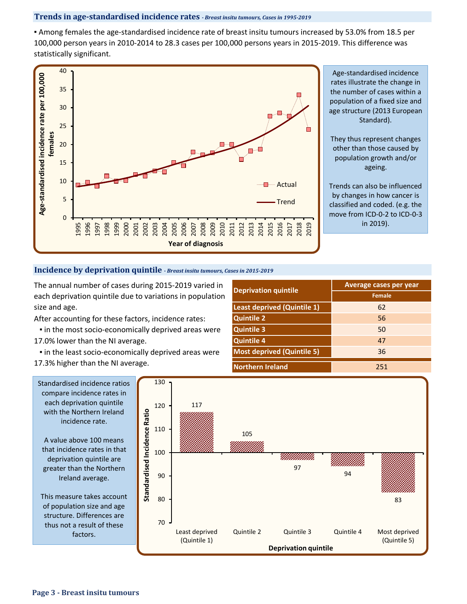#### **Trends in age-standardised incidence rates** *- Breast insitu tumours, Cases in 1995-2019*

▪ Among females the age-standardised incidence rate of breast insitu tumours increased by 53.0% from 18.5 per 100,000 person years in 2010-2014 to 28.3 cases per 100,000 persons years in 2015-2019. This difference was statistically significant.



#### **Incidence by deprivation quintile** *- Breast insitu tumours, Cases in 2015-2019*

The annual number of cases during 2015-2019 varied in each deprivation quintile due to variations in population size and age.

- After accounting for these factors, incidence rates:
- If in the most socio-economically deprived areas were
- 17.0% lower than the NI average.
- **.** in the least socio-economically deprived areas were
- 17.3% higher than the NI average.

| <b>Deprivation quintile</b>       | Average cases per year |  |  |  |
|-----------------------------------|------------------------|--|--|--|
|                                   | Female                 |  |  |  |
| Least deprived (Quintile 1)       | 62                     |  |  |  |
| <b>Quintile 2</b>                 | 56                     |  |  |  |
| <b>Quintile 3</b>                 | 50                     |  |  |  |
| <b>Quintile 4</b>                 | 47                     |  |  |  |
| <b>Most deprived (Quintile 5)</b> | 36                     |  |  |  |
| <b>Northern Ireland</b>           | 251                    |  |  |  |



Standardised incidence ratios compare incidence rates in each deprivation quintile with the Northern Ireland incidence rate.

A value above 100 means that incidence rates in that deprivation quintile are greater than the Northern Ireland average.

This measure takes account of population size and age structure. Differences are thus not a result of these factors.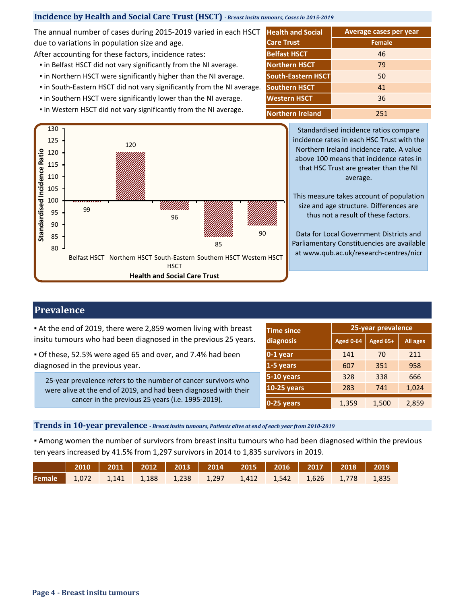### **Incidence by Health and Social Care Trust (HSCT)** *- Breast insitu tumours, Cases in 2015-2019*

The annual number of cases during 2015-2019 varied in each HSCT due to variations in population size and age.

After accounting for these factors, incidence rates:

- **.** in Belfast HSCT did not vary significantly from the NI average.
- **.** in Northern HSCT were significantly higher than the NI average.
- in South-Eastern HSCT did not vary significantly from the NI average.
- **.** in Southern HSCT were significantly lower than the NI average.
- 



**Northern Ireland Northern HSCT South-Eastern HSCT Western HSCT Care Trust Female** 46 **Belfast HSCT** 251 79 50 41 36 **Southern HSCT**

**Average cases per year**

**Health and Social** 

Standardised incidence ratios compare incidence rates in each HSC Trust with the Northern Ireland incidence rate. A value above 100 means that incidence rates in that HSC Trust are greater than the NI average.

This measure takes account of population size and age structure. Differences are thus not a result of these factors.

Data for Local Government Districts and Parliamentary Constituencies are available at www.qub.ac.uk/research-centres/nicr

## **Prevalence**

Standardised Incidence Ratio

▪ At the end of 2019, there were 2,859 women living with breast insitu tumours who had been diagnosed in the previous 25 years.

▪ Of these, 52.5% were aged 65 and over, and 7.4% had been diagnosed in the previous year.

25-year prevalence refers to the number of cancer survivors who were alive at the end of 2019, and had been diagnosed with their cancer in the previous 25 years (i.e. 1995-2019).

| <b>Time since</b> | 25-year prevalence |          |                 |  |  |
|-------------------|--------------------|----------|-----------------|--|--|
| diagnosis         | <b>Aged 0-64</b>   | Aged 65+ | <b>All ages</b> |  |  |
| $0-1$ year        | 141                | 70       | 211             |  |  |
| 1-5 years         | 607                | 351      | 958             |  |  |
| 5-10 years        | 328                | 338      | 666             |  |  |
| $10-25$ years     | 283                | 741      | 1,024           |  |  |
| 0-25 years        | 1,359              | 1,500    | 2,859           |  |  |

**Trends in 10-year prevalence** *- Breast insitu tumours, Patients alive at end of each year from 2010-2019*

▪ Among women the number of survivors from breast insitu tumours who had been diagnosed within the previous ten years increased by 41.5% from 1,297 survivors in 2014 to 1,835 survivors in 2019.

| 2010   2011   2012   2013   2014   2015   2016   2017   2018   2019 <sub> </sub> |  |  |  |  |  |
|----------------------------------------------------------------------------------|--|--|--|--|--|
| Female 1,072 1,141 1,188 1,238 1,297 1,412 1,542 1,626 1,778 1,835               |  |  |  |  |  |